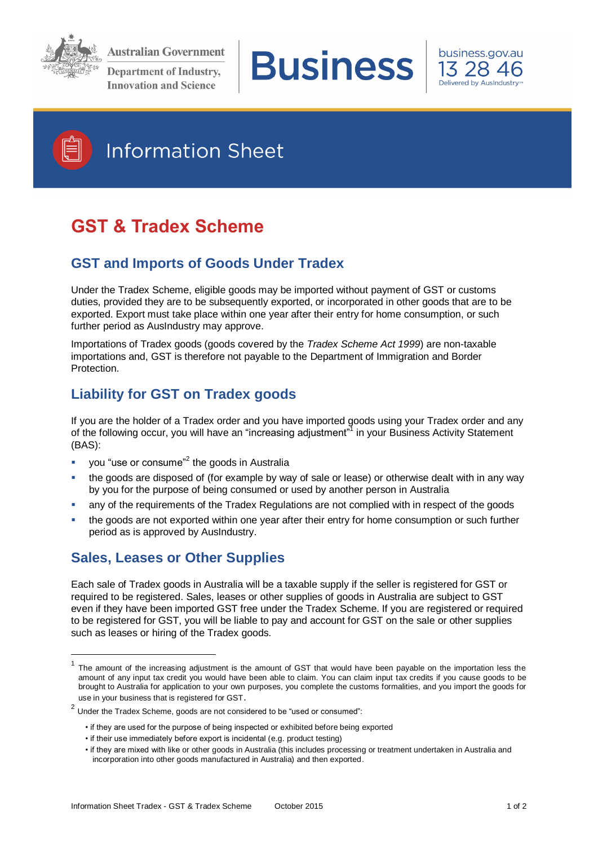

**Australian Government Department of Industry, Innovation and Science** 







1

## **Information Sheet**

# **GST & Tradex Scheme**

## **GST and Imports of Goods Under Tradex**

Under the Tradex Scheme, eligible goods may be imported without payment of GST or customs duties, provided they are to be subsequently exported, or incorporated in other goods that are to be exported. Export must take place within one year after their entry for home consumption, or such further period as AusIndustry may approve.

Importations of Tradex goods (goods covered by the *Tradex Scheme Act 1999*) are non-taxable importations and, GST is therefore not payable to the Department of Immigration and Border Protection.

## **Liability for GST on Tradex goods**

If you are the holder of a Tradex order and you have imported goods using your Tradex order and any of the following occur, you will have an "increasing adjustment"<sup>1</sup> in your Business Activity Statement (BAS):

- you "use or consume"<sup>2</sup> the goods in Australia
- the goods are disposed of (for example by way of sale or lease) or otherwise dealt with in any way by you for the purpose of being consumed or used by another person in Australia
- any of the requirements of the Tradex Regulations are not complied with in respect of the goods
- the goods are not exported within one year after their entry for home consumption or such further period as is approved by AusIndustry.

## **Sales, Leases or Other Supplies**

Each sale of Tradex goods in Australia will be a taxable supply if the seller is registered for GST or required to be registered. Sales, leases or other supplies of goods in Australia are subject to GST even if they have been imported GST free under the Tradex Scheme. If you are registered or required to be registered for GST, you will be liable to pay and account for GST on the sale or other supplies such as leases or hiring of the Tradex goods.

<sup>1</sup> The amount of the increasing adjustment is the amount of GST that would have been payable on the importation less the amount of any input tax credit you would have been able to claim. You can claim input tax credits if you cause goods to be brought to Australia for application to your own purposes, you complete the customs formalities, and you import the goods for use in your business that is registered for GST.

 $2$  Under the Tradex Scheme, goods are not considered to be "used or consumed":

<sup>•</sup> if they are used for the purpose of being inspected or exhibited before being exported

<sup>•</sup> if their use immediately before export is incidental (e.g. product testing)

<sup>•</sup> if they are mixed with like or other goods in Australia (this includes processing or treatment undertaken in Australia and incorporation into other goods manufactured in Australia) and then exported.